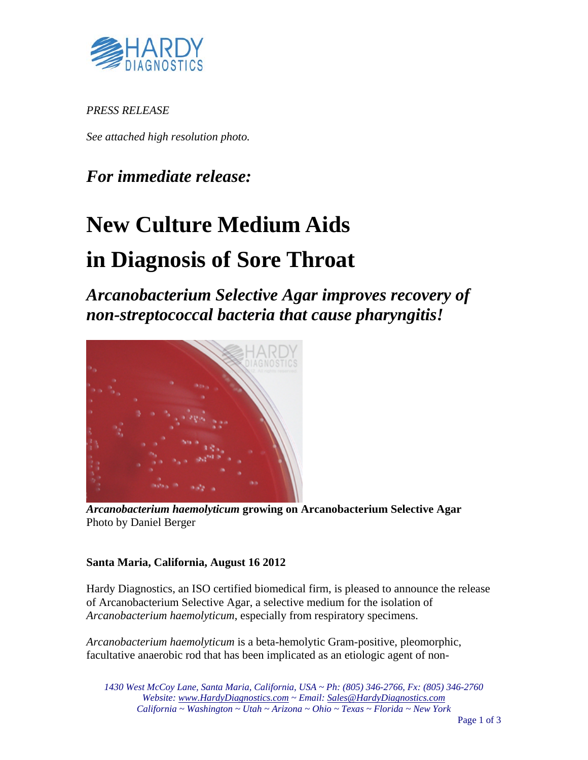

*PRESS RELEASE* 

*See attached high resolution photo.* 

### *For immediate release:*

# **New Culture Medium Aids**

## **in Diagnosis of Sore Throat**

*Arcanobacterium Selective Agar improves recovery of non-streptococcal bacteria that cause pharyngitis!* 



*Arcanobacterium haemolyticum* **growing on Arcanobacterium Selective Agar**  Photo by Daniel Berger

#### **Santa Maria, California, August 16 2012**

Hardy Diagnostics, an ISO certified biomedical firm, is pleased to announce the release of Arcanobacterium Selective Agar, a selective medium for the isolation of *Arcanobacterium haemolyticum*, especially from respiratory specimens.

*Arcanobacterium haemolyticum* is a beta-hemolytic Gram-positive, pleomorphic, facultative anaerobic rod that has been implicated as an etiologic agent of non-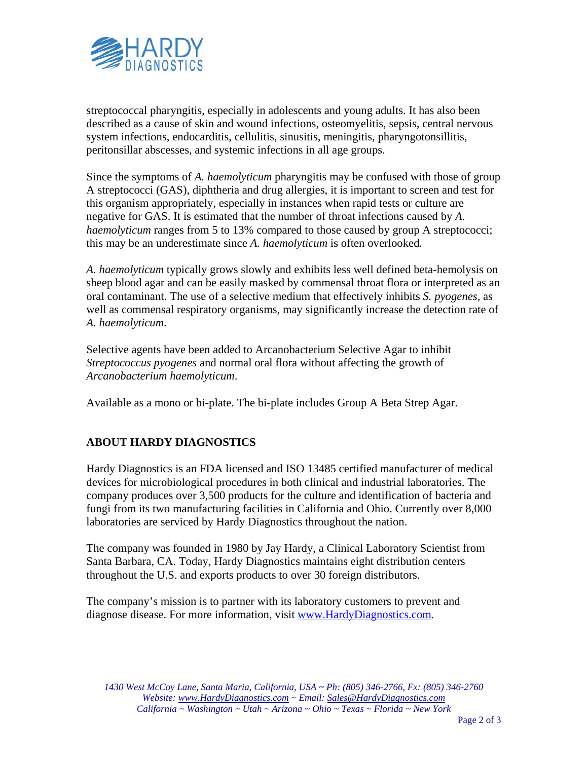

streptococcal pharyngitis, especially in adolescents and young adults. It has also been described as a cause of skin and wound infections, osteomyelitis, sepsis, central nervous system infections, endocarditis, cellulitis, sinusitis, meningitis, pharyngotonsillitis, peritonsillar abscesses, and systemic infections in all age groups.

Since the symptoms of *A. haemolyticum* pharyngitis may be confused with those of group A streptococci (GAS), diphtheria and drug allergies, it is important to screen and test for this organism appropriately, especially in instances when rapid tests or culture are negative for GAS. It is estimated that the number of throat infections caused by *A. haemolyticum* ranges from 5 to 13% compared to those caused by group A streptococci; this may be an underestimate since *A. haemolyticum* is often overlooked*.*

*A. haemolyticum* typically grows slowly and exhibits less well defined beta-hemolysis on sheep blood agar and can be easily masked by commensal throat flora or interpreted as an oral contaminant. The use of a selective medium that effectively inhibits *S. pyogenes,* as well as commensal respiratory organisms, may significantly increase the detection rate of *A. haemolyticum*.

Selective agents have been added to Arcanobacterium Selective Agar to inhibit *Streptococcus pyogenes* and normal oral flora without affecting the growth of *Arcanobacterium haemolyticum*.

Available as a mono or bi-plate. The bi-plate includes Group A Beta Strep Agar.

#### **ABOUT HARDY DIAGNOSTICS**

Hardy Diagnostics is an FDA licensed and ISO 13485 certified manufacturer of medical devices for microbiological procedures in both clinical and industrial laboratories. The company produces over 3,500 products for the culture and identification of bacteria and fungi from its two manufacturing facilities in California and Ohio. Currently over 8,000 laboratories are serviced by Hardy Diagnostics throughout the nation.

The company was founded in 1980 by Jay Hardy, a Clinical Laboratory Scientist from Santa Barbara, CA. Today, Hardy Diagnostics maintains eight distribution centers throughout the U.S. and exports products to over 30 foreign distributors.

The company's mission is to partner with its laboratory customers to prevent and diagnose disease. For more information, visit www.HardyDiagnostics.com.